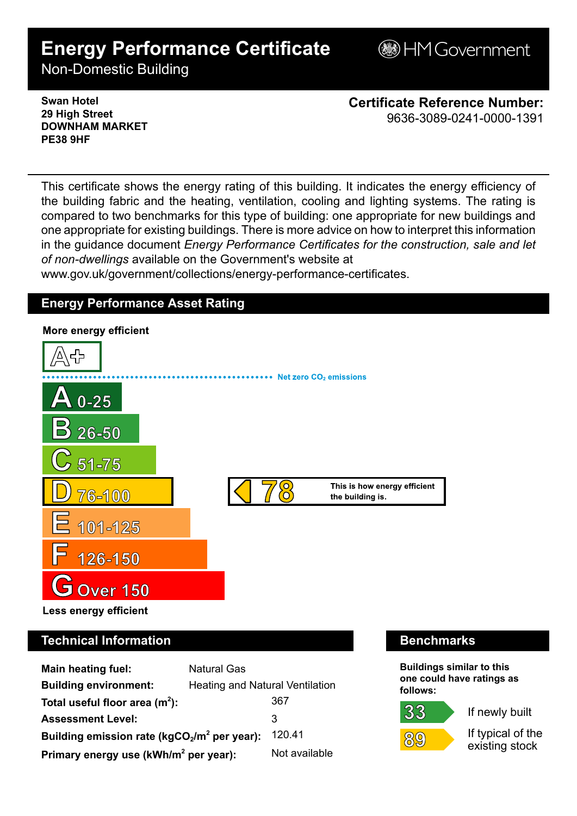# **Energy Performance Certificate**

**BHM Government** 

Non-Domestic Building

**Swan Hotel 29 High Street DOWNHAM MARKET PE38 9HF**

**Certificate Reference Number:** 9636-3089-0241-0000-1391

This certificate shows the energy rating of this building. It indicates the energy efficiency of the building fabric and the heating, ventilation, cooling and lighting systems. The rating is compared to two benchmarks for this type of building: one appropriate for new buildings and one appropriate for existing buildings. There is more advice on how to interpret this information in the guidance document *Energy Performance Certificates for the construction, sale and let of non-dwellings* available on the Government's website at www.gov.uk/government/collections/energy-performance-certificates.

## **Energy Performance Asset Rating**



## **Technical Information Benchmarks**

| <b>Main heating fuel:</b>                         | <b>Natural Gas</b>              |               |
|---------------------------------------------------|---------------------------------|---------------|
| <b>Building environment:</b>                      | Heating and Natural Ventilation |               |
| Total useful floor area $(m2)$ :                  |                                 | 367           |
| <b>Assessment Level:</b>                          |                                 | 3             |
| Building emission rate ( $kgCO2/m2$ per year):    |                                 | 120.41        |
| Primary energy use (kWh/m <sup>2</sup> per year): |                                 | Not available |

**Buildings similar to this one could have ratings as follows:**

## 33



If newly built

If typical of the existing stock